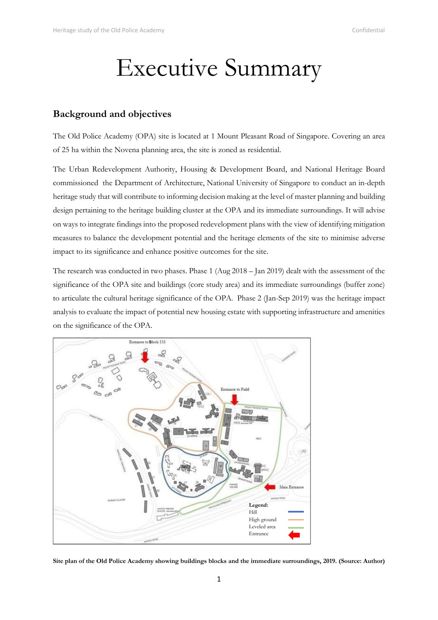# Executive Summary

### **Background and objectives**

The Old Police Academy (OPA) site is located at 1 Mount Pleasant Road of Singapore. Covering an area of 25 ha within the Novena planning area, the site is zoned as residential.

The Urban Redevelopment Authority, Housing & Development Board, and National Heritage Board commissioned the Department of Architecture, National University of Singapore to conduct an in-depth heritage study that will contribute to informing decision making at the level of master planning and building design pertaining to the heritage building cluster at the OPA and its immediate surroundings. It will advise on ways to integrate findings into the proposed redevelopment plans with the view of identifying mitigation measures to balance the development potential and the heritage elements of the site to minimise adverse impact to its significance and enhance positive outcomes for the site.

The research was conducted in two phases. Phase 1 (Aug 2018 – Jan 2019) dealt with the assessment of the significance of the OPA site and buildings (core study area) and its immediate surroundings (buffer zone) to articulate the cultural heritage significance of the OPA. Phase 2 (Jan-Sep 2019) was the heritage impact analysis to evaluate the impact of potential new housing estate with supporting infrastructure and amenities on the significance of the OPA.



**Site plan of the Old Police Academy showing buildings blocks and the immediate surroundings, 2019. (Source: Author)**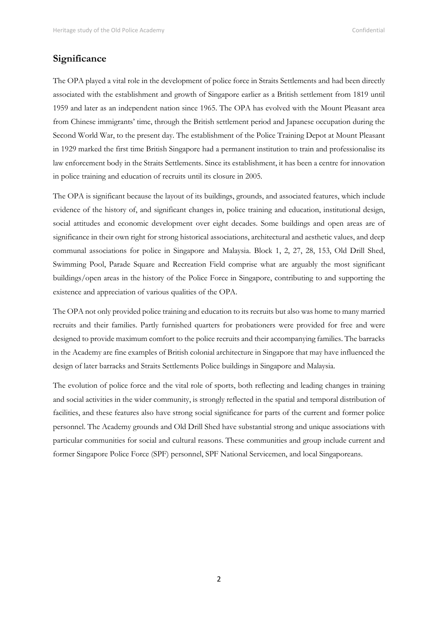## **Significance**

The OPA played a vital role in the development of police force in Straits Settlements and had been directly associated with the establishment and growth of Singapore earlier as a British settlement from 1819 until 1959 and later as an independent nation since 1965. The OPA has evolved with the Mount Pleasant area from Chinese immigrants' time, through the British settlement period and Japanese occupation during the Second World War, to the present day. The establishment of the Police Training Depot at Mount Pleasant in 1929 marked the first time British Singapore had a permanent institution to train and professionalise its law enforcement body in the Straits Settlements. Since its establishment, it has been a centre for innovation in police training and education of recruits until its closure in 2005.

The OPA is significant because the layout of its buildings, grounds, and associated features, which include evidence of the history of, and significant changes in, police training and education, institutional design, social attitudes and economic development over eight decades. Some buildings and open areas are of significance in their own right for strong historical associations, architectural and aesthetic values, and deep communal associations for police in Singapore and Malaysia. Block 1, 2, 27, 28, 153, Old Drill Shed, Swimming Pool, Parade Square and Recreation Field comprise what are arguably the most significant buildings/open areas in the history of the Police Force in Singapore, contributing to and supporting the existence and appreciation of various qualities of the OPA.

The OPA not only provided police training and education to its recruits but also was home to many married recruits and their families. Partly furnished quarters for probationers were provided for free and were designed to provide maximum comfort to the police recruits and their accompanying families. The barracks in the Academy are fine examples of British colonial architecture in Singapore that may have influenced the design of later barracks and Straits Settlements Police buildings in Singapore and Malaysia.

The evolution of police force and the vital role of sports, both reflecting and leading changes in training and social activities in the wider community, is strongly reflected in the spatial and temporal distribution of facilities, and these features also have strong social significance for parts of the current and former police personnel. The Academy grounds and Old Drill Shed have substantial strong and unique associations with particular communities for social and cultural reasons. These communities and group include current and former Singapore Police Force (SPF) personnel, SPF National Servicemen, and local Singaporeans.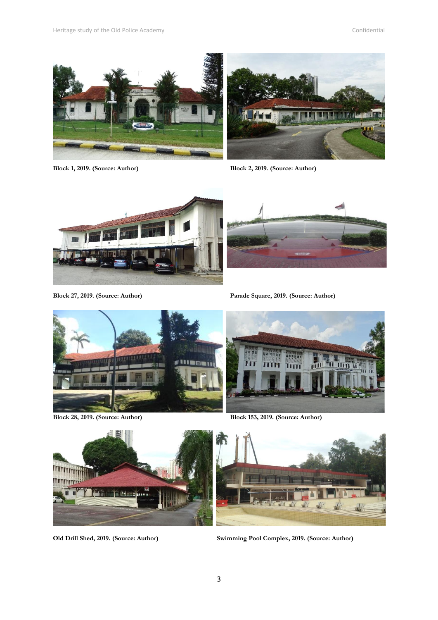



**Block 1, 2019. (Source: Author) Block 2, 2019. (Source: Author)**





**Block 27, 2019. (Source: Author) Parade Square, 2019. (Source: Author)**



**Block 28, 2019. (Source: Author) Block 153, 2019. (Source: Author)**





**Old Drill Shed, 2019. (Source: Author) Swimming Pool Complex, 2019. (Source: Author)**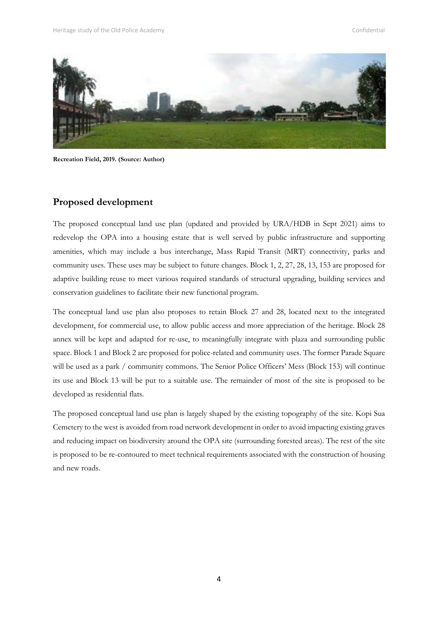

**Recreation Field, 2019. (Source: Author)**

#### **Proposed development**

The proposed conceptual land use plan (updated and provided by URA/HDB in Sept 2021) aims to redevelop the OPA into a housing estate that is well served by public infrastructure and supporting amenities, which may include a bus interchange, Mass Rapid Transit (MRT) connectivity, parks and community uses. These uses may be subject to future changes. Block 1, 2, 27, 28, 13, 153 are proposed for adaptive building reuse to meet various required standards of structural upgrading, building services and conservation guidelines to facilitate their new functional program.

The conceptual land use plan also proposes to retain Block 27 and 28, located next to the integrated development, for commercial use, to allow public access and more appreciation of the heritage. Block 28 annex will be kept and adapted for re-use, to meaningfully integrate with plaza and surrounding public space. Block 1 and Block 2 are proposed for police-related and community uses. The former Parade Square will be used as a park / community commons. The Senior Police Officers' Mess (Block 153) will continue its use and Block 13 will be put to a suitable use. The remainder of most of the site is proposed to be developed as residential flats.

The proposed conceptual land use plan is largely shaped by the existing topography of the site. Kopi Sua Cemetery to the west is avoided from road network development in order to avoid impacting existing graves and reducing impact on biodiversity around the OPA site (surrounding forested areas). The rest of the site is proposed to be re-contoured to meet technical requirements associated with the construction of housing and new roads.